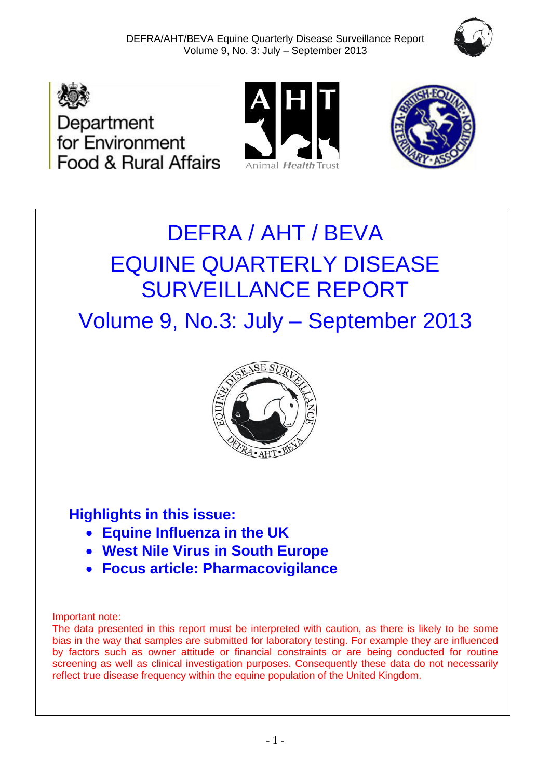







# DEFRA / AHT / BEVA EQUINE QUARTERLY DISEASE SURVEILLANCE REPORT

Volume 9, No.3: July – September 2013



## **Highlights in this issue:**

- **Equine Influenza in the UK**
- **West Nile Virus in South Europe**
- **Focus article: Pharmacovigilance**

#### Important note:

The data presented in this report must be interpreted with caution, as there is likely to be some bias in the way that samples are submitted for laboratory testing. For example they are influenced by factors such as owner attitude or financial constraints or are being conducted for routine screening as well as clinical investigation purposes. Consequently these data do not necessarily reflect true disease frequency within the equine population of the United Kingdom.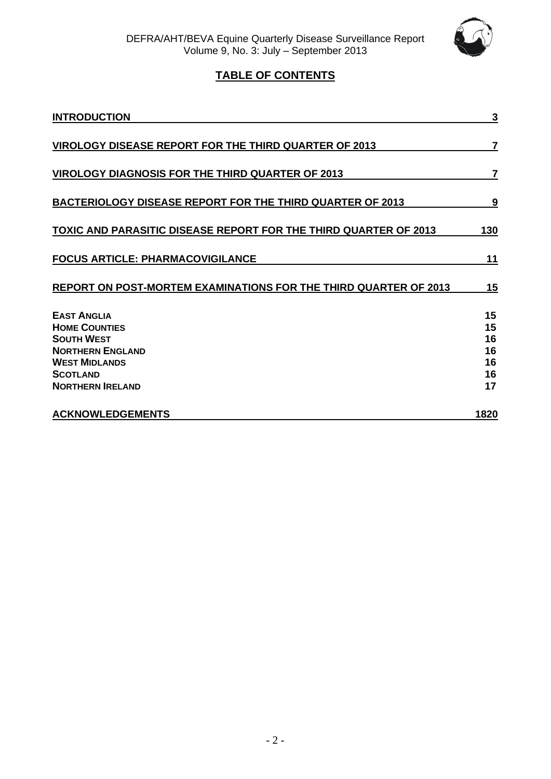

## **TABLE OF CONTENTS**

| <b>INTRODUCTION</b>                                                                                                                                              | 3                                      |
|------------------------------------------------------------------------------------------------------------------------------------------------------------------|----------------------------------------|
| <b>VIROLOGY DISEASE REPORT FOR THE THIRD QUARTER OF 2013</b>                                                                                                     | 7                                      |
| <b>VIROLOGY DIAGNOSIS FOR THE THIRD QUARTER OF 2013</b>                                                                                                          | $\overline{7}$                         |
| <b>BACTERIOLOGY DISEASE REPORT FOR THE THIRD QUARTER OF 2013</b>                                                                                                 | 9                                      |
| <b>TOXIC AND PARASITIC DISEASE REPORT FOR THE THIRD QUARTER OF 2013</b>                                                                                          | 130                                    |
| <b>FOCUS ARTICLE: PHARMACOVIGILANCE</b>                                                                                                                          | 11                                     |
| REPORT ON POST-MORTEM EXAMINATIONS FOR THE THIRD QUARTER OF 2013                                                                                                 | 15                                     |
| <b>EAST ANGLIA</b><br><b>HOME COUNTIES</b><br><b>SOUTH WEST</b><br><b>NORTHERN ENGLAND</b><br><b>WEST MIDLANDS</b><br><b>SCOTLAND</b><br><b>NORTHERN IRELAND</b> | 15<br>15<br>16<br>16<br>16<br>16<br>17 |
| <b>ACKNOWLEDGEMENTS</b>                                                                                                                                          | <u>1820</u>                            |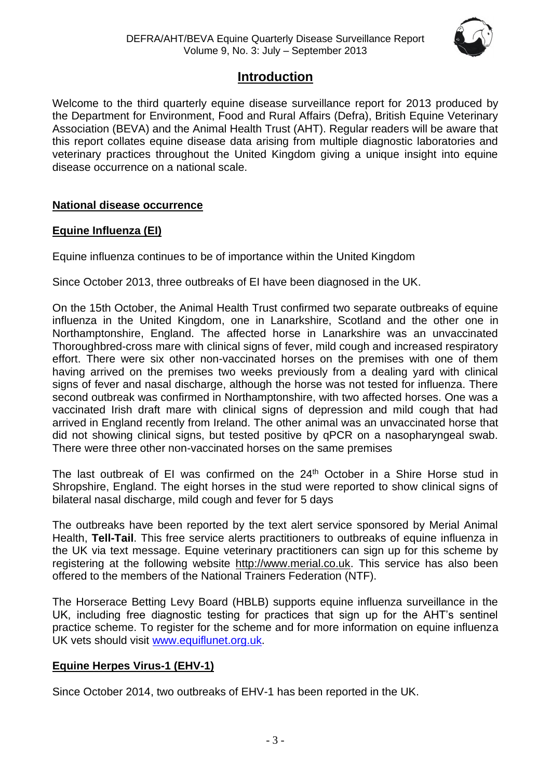

## **Introduction**

Welcome to the third quarterly equine disease surveillance report for 2013 produced by the Department for Environment, Food and Rural Affairs (Defra), British Equine Veterinary Association (BEVA) and the Animal Health Trust (AHT). Regular readers will be aware that this report collates equine disease data arising from multiple diagnostic laboratories and veterinary practices throughout the United Kingdom giving a unique insight into equine disease occurrence on a national scale.

#### **National disease occurrence**

#### **Equine Influenza (EI)**

Equine influenza continues to be of importance within the United Kingdom

Since October 2013, three outbreaks of EI have been diagnosed in the UK.

On the 15th October, the Animal Health Trust confirmed two separate outbreaks of equine influenza in the United Kingdom, one in Lanarkshire, Scotland and the other one in Northamptonshire, England. The affected horse in Lanarkshire was an unvaccinated Thoroughbred-cross mare with clinical signs of fever, mild cough and increased respiratory effort. There were six other non-vaccinated horses on the premises with one of them having arrived on the premises two weeks previously from a dealing yard with clinical signs of fever and nasal discharge, although the horse was not tested for influenza. There second outbreak was confirmed in Northamptonshire, with two affected horses. One was a vaccinated Irish draft mare with clinical signs of depression and mild cough that had arrived in England recently from Ireland. The other animal was an unvaccinated horse that did not showing clinical signs, but tested positive by qPCR on a nasopharyngeal swab. There were three other non-vaccinated horses on the same premises

The last outbreak of EI was confirmed on the 24<sup>th</sup> October in a Shire Horse stud in Shropshire, England. The eight horses in the stud were reported to show clinical signs of bilateral nasal discharge, mild cough and fever for 5 days

The outbreaks have been reported by the text alert service sponsored by Merial Animal Health, **Tell-Tail**. This free service alerts practitioners to outbreaks of equine influenza in the UK via text message. Equine veterinary practitioners can sign up for this scheme by registering at the following website [http://www.merial.co.uk.](http://www.merial.co.uk/) This service has also been offered to the members of the National Trainers Federation (NTF).

The Horserace Betting Levy Board (HBLB) supports equine influenza surveillance in the UK, including free diagnostic testing for practices that sign up for the AHT's sentinel practice scheme. To register for the scheme and for more information on equine influenza UK vets should visit [www.equiflunet.org.uk.](http://www.equiflunet.org.uk/)

#### **Equine Herpes Virus-1 (EHV-1)**

Since October 2014, two outbreaks of EHV-1 has been reported in the UK.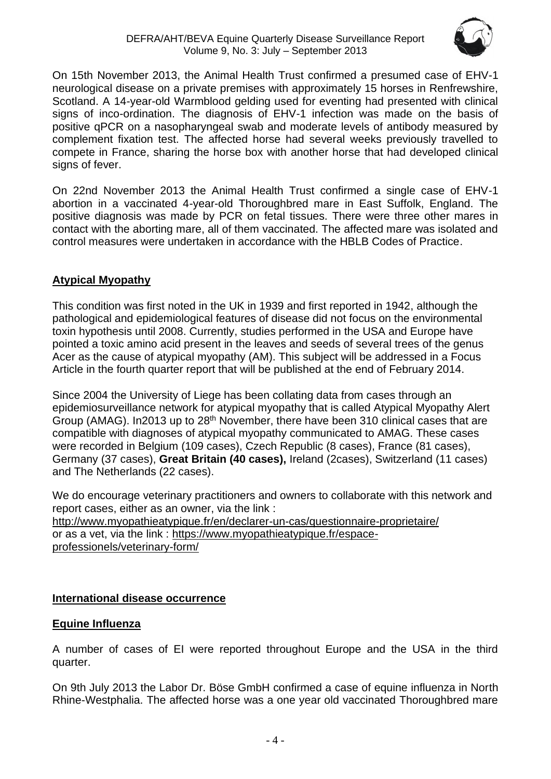

On 15th November 2013, the Animal Health Trust confirmed a presumed case of EHV-1 neurological disease on a private premises with approximately 15 horses in Renfrewshire, Scotland. A 14-year-old Warmblood gelding used for eventing had presented with clinical signs of inco-ordination. The diagnosis of EHV-1 infection was made on the basis of positive qPCR on a nasopharyngeal swab and moderate levels of antibody measured by complement fixation test. The affected horse had several weeks previously travelled to compete in France, sharing the horse box with another horse that had developed clinical signs of fever.

On 22nd November 2013 the Animal Health Trust confirmed a single case of EHV-1 abortion in a vaccinated 4-year-old Thoroughbred mare in East Suffolk, England. The positive diagnosis was made by PCR on fetal tissues. There were three other mares in contact with the aborting mare, all of them vaccinated. The affected mare was isolated and control measures were undertaken in accordance with the HBLB Codes of Practice.

## **Atypical Myopathy**

This condition was first noted in the UK in 1939 and first reported in 1942, although the pathological and epidemiological features of disease did not focus on the environmental toxin hypothesis until 2008. Currently, studies performed in the USA and Europe have pointed a toxic amino acid present in the leaves and seeds of several trees of the genus Acer as the cause of atypical myopathy (AM). This subject will be addressed in a Focus Article in the fourth quarter report that will be published at the end of February 2014.

Since 2004 the University of Liege has been collating data from cases through an epidemiosurveillance network for atypical myopathy that is called Atypical Myopathy Alert Group (AMAG). In2013 up to  $28<sup>th</sup>$  November, there have been 310 clinical cases that are compatible with diagnoses of atypical myopathy communicated to AMAG. These cases were recorded in Belgium (109 cases), Czech Republic (8 cases), France (81 cases), Germany (37 cases), **Great Britain (40 cases),** Ireland (2cases), Switzerland (11 cases) and The Netherlands (22 cases).

We do encourage veterinary practitioners and owners to collaborate with this network and report cases, either as an owner, via the link : <http://www.myopathieatypique.fr/en/declarer-un-cas/questionnaire-proprietaire/> or as a vet, via the link : [https://www.myopathieatypique.fr/espace](https://www.myopathieatypique.fr/espace-professionels/veterinary-form/)[professionels/veterinary-form/](https://www.myopathieatypique.fr/espace-professionels/veterinary-form/)

## **International disease occurrence**

## **Equine Influenza**

A number of cases of EI were reported throughout Europe and the USA in the third quarter.

On 9th July 2013 the Labor Dr. Böse GmbH confirmed a case of equine influenza in North Rhine-Westphalia. The affected horse was a one year old vaccinated Thoroughbred mare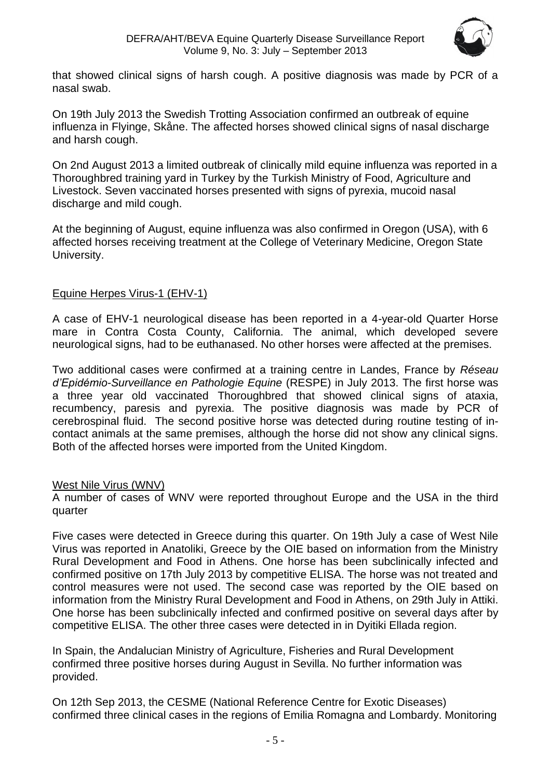

that showed clinical signs of harsh cough. A positive diagnosis was made by PCR of a nasal swab.

On 19th July 2013 the Swedish Trotting Association confirmed an outbreak of equine influenza in Flyinge, Skåne. The affected horses showed clinical signs of nasal discharge and harsh cough.

On 2nd August 2013 a limited outbreak of clinically mild equine influenza was reported in a Thoroughbred training yard in Turkey by the Turkish Ministry of Food, Agriculture and Livestock. Seven vaccinated horses presented with signs of pyrexia, mucoid nasal discharge and mild cough.

At the beginning of August, equine influenza was also confirmed in Oregon (USA), with 6 affected horses receiving treatment at the College of Veterinary Medicine, Oregon State University.

#### Equine Herpes Virus-1 (EHV-1)

A case of EHV-1 neurological disease has been reported in a 4-year-old Quarter Horse mare in Contra Costa County, California. The animal, which developed severe neurological signs, had to be euthanased. No other horses were affected at the premises.

Two additional cases were confirmed at a training centre in Landes, France by *Réseau d'Epidémio-Surveillance en Pathologie Equine* (RESPE) in July 2013. The first horse was a three year old vaccinated Thoroughbred that showed clinical signs of ataxia, recumbency, paresis and pyrexia. The positive diagnosis was made by PCR of cerebrospinal fluid. The second positive horse was detected during routine testing of incontact animals at the same premises, although the horse did not show any clinical signs. Both of the affected horses were imported from the United Kingdom.

#### West Nile Virus (WNV)

A number of cases of WNV were reported throughout Europe and the USA in the third quarter

Five cases were detected in Greece during this quarter. On 19th July a case of West Nile Virus was reported in Anatoliki, Greece by the OIE based on information from the Ministry Rural Development and Food in Athens. One horse has been subclinically infected and confirmed positive on 17th July 2013 by competitive ELISA. The horse was not treated and control measures were not used. The second case was reported by the OIE based on information from the Ministry Rural Development and Food in Athens, on 29th July in Attiki. One horse has been subclinically infected and confirmed positive on several days after by competitive ELISA. The other three cases were detected in in Dyitiki Ellada region.

In Spain, the Andalucian Ministry of Agriculture, Fisheries and Rural Development confirmed three positive horses during August in Sevilla. No further information was provided.

On 12th Sep 2013, the CESME (National Reference Centre for Exotic Diseases) confirmed three clinical cases in the regions of Emilia Romagna and Lombardy. Monitoring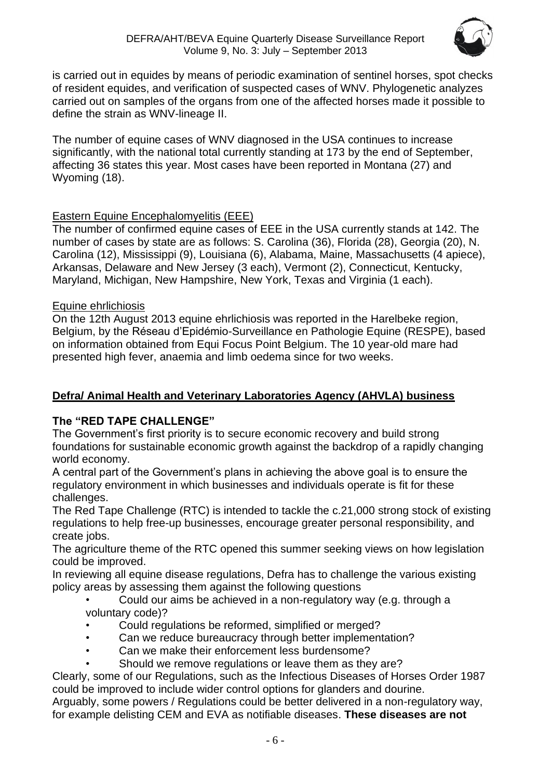

is carried out in equides by means of periodic examination of sentinel horses, spot checks of resident equides, and verification of suspected cases of WNV. Phylogenetic analyzes carried out on samples of the organs from one of the affected horses made it possible to define the strain as WNV-lineage II.

The number of equine cases of WNV diagnosed in the USA continues to increase significantly, with the national total currently standing at 173 by the end of September, affecting 36 states this year. Most cases have been reported in Montana (27) and Wyoming (18).

#### Eastern Equine Encephalomyelitis (EEE)

The number of confirmed equine cases of EEE in the USA currently stands at 142. The number of cases by state are as follows: S. Carolina (36), Florida (28), Georgia (20), N. Carolina (12), Mississippi (9), Louisiana (6), Alabama, Maine, Massachusetts (4 apiece), Arkansas, Delaware and New Jersey (3 each), Vermont (2), Connecticut, Kentucky, Maryland, Michigan, New Hampshire, New York, Texas and Virginia (1 each).

#### Equine ehrlichiosis

On the 12th August 2013 equine ehrlichiosis was reported in the Harelbeke region, Belgium, by the Réseau d'Epidémio-Surveillance en Pathologie Equine (RESPE), based on information obtained from Equi Focus Point Belgium. The 10 year-old mare had presented high fever, anaemia and limb oedema since for two weeks.

#### **Defra/ Animal Health and Veterinary Laboratories Agency (AHVLA) business**

#### **The "RED TAPE CHALLENGE"**

The Government's first priority is to secure economic recovery and build strong foundations for sustainable economic growth against the backdrop of a rapidly changing world economy.

A central part of the Government's plans in achieving the above goal is to ensure the regulatory environment in which businesses and individuals operate is fit for these challenges.

The Red Tape Challenge (RTC) is intended to tackle the c.21,000 strong stock of existing regulations to help free-up businesses, encourage greater personal responsibility, and create jobs.

The agriculture theme of the RTC opened this summer seeking views on how legislation could be improved.

In reviewing all equine disease regulations, Defra has to challenge the various existing policy areas by assessing them against the following questions

- Could our aims be achieved in a non-regulatory way (e.g. through a voluntary code)?
- Could regulations be reformed, simplified or merged?
- Can we reduce bureaucracy through better implementation?
- Can we make their enforcement less burdensome?
- Should we remove regulations or leave them as they are?

Clearly, some of our Regulations, such as the Infectious Diseases of Horses Order 1987 could be improved to include wider control options for glanders and dourine.

Arguably, some powers / Regulations could be better delivered in a non-regulatory way, for example delisting CEM and EVA as notifiable diseases. **These diseases are not**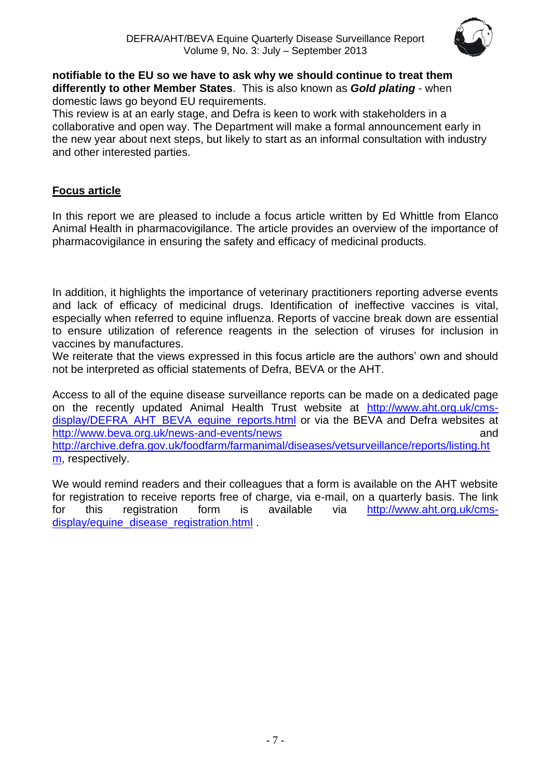

#### **notifiable to the EU so we have to ask why we should continue to treat them differently to other Member States**. This is also known as *Gold plating* - when domestic laws go beyond EU requirements.

This review is at an early stage, and Defra is keen to work with stakeholders in a collaborative and open way. The Department will make a formal announcement early in the new year about next steps, but likely to start as an informal consultation with industry and other interested parties.

### **Focus article**

In this report we are pleased to include a focus article written by Ed Whittle from Elanco Animal Health in pharmacovigilance. The article provides an overview of the importance of pharmacovigilance in ensuring the safety and efficacy of medicinal products.

In addition, it highlights the importance of veterinary practitioners reporting adverse events and lack of efficacy of medicinal drugs. Identification of ineffective vaccines is vital, especially when referred to equine influenza. Reports of vaccine break down are essential to ensure utilization of reference reagents in the selection of viruses for inclusion in vaccines by manufactures.

We reiterate that the views expressed in this focus article are the authors' own and should not be interpreted as official statements of Defra, BEVA or the AHT.

Access to all of the equine disease surveillance reports can be made on a dedicated page on the recently updated Animal Health Trust website at [http://www.aht.org.uk/cms](http://www.aht.org.uk/cms-display/DEFRA_AHT_BEVA_equine_reports.html)[display/DEFRA\\_AHT\\_BEVA\\_equine\\_reports.html](http://www.aht.org.uk/cms-display/DEFRA_AHT_BEVA_equine_reports.html) or via the BEVA and Defra websites at <http://www.beva.org.uk/news-and-events/news> and [http://archive.defra.gov.uk/foodfarm/farmanimal/diseases/vetsurveillance/reports/listing.ht](http://archive.defra.gov.uk/foodfarm/farmanimal/diseases/vetsurveillance/reports/listing.htm) [m,](http://archive.defra.gov.uk/foodfarm/farmanimal/diseases/vetsurveillance/reports/listing.htm) respectively.

We would remind readers and their colleagues that a form is available on the AHT website for registration to receive reports free of charge, via e-mail, on a quarterly basis. The link for this registration form is available via [http://www.aht.org.uk/cms](http://www.aht.org.uk/cms-display/equine_disease_registration.html)[display/equine\\_disease\\_registration.html](http://www.aht.org.uk/cms-display/equine_disease_registration.html) .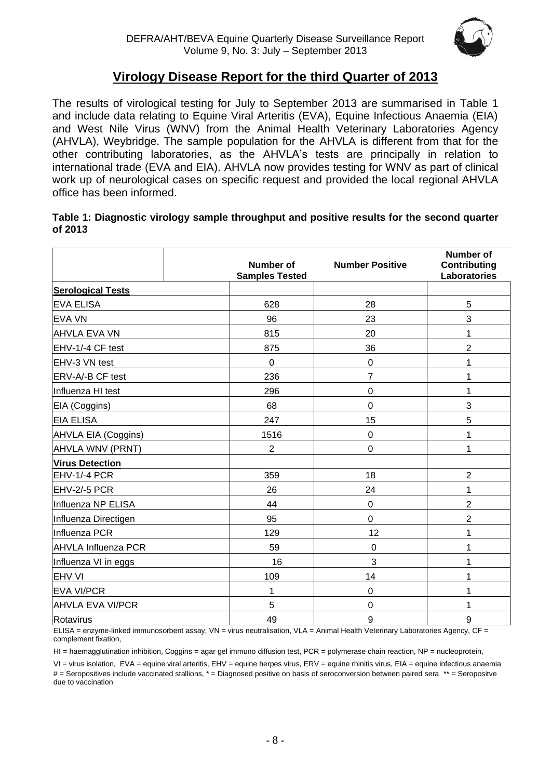

## **Virology Disease Report for the third Quarter of 2013**

The results of virological testing for July to September 2013 are summarised in Table 1 and include data relating to Equine Viral Arteritis (EVA), Equine Infectious Anaemia (EIA) and West Nile Virus (WNV) from the Animal Health Veterinary Laboratories Agency (AHVLA), Weybridge. The sample population for the AHVLA is different from that for the other contributing laboratories, as the AHVLA's tests are principally in relation to international trade (EVA and EIA). AHVLA now provides testing for WNV as part of clinical work up of neurological cases on specific request and provided the local regional AHVLA office has been informed.

#### **Table 1: Diagnostic virology sample throughput and positive results for the second quarter of 2013**

|                            | <b>Number of</b><br><b>Samples Tested</b> | <b>Number Positive</b> | Number of<br><b>Contributing</b><br><b>Laboratories</b> |
|----------------------------|-------------------------------------------|------------------------|---------------------------------------------------------|
| <b>Serological Tests</b>   |                                           |                        |                                                         |
| <b>EVA ELISA</b>           | 628                                       | 28                     | 5                                                       |
| <b>EVA VN</b>              | 96                                        | 23                     | 3                                                       |
| <b>AHVLA EVA VN</b>        | 815                                       | 20                     | 1                                                       |
| EHV-1/-4 CF test           | 875                                       | 36                     | $\overline{c}$                                          |
| EHV-3 VN test              | $\overline{0}$                            | $\mathbf 0$            | 1                                                       |
| ERV-A/-B CF test           | 236                                       | $\overline{7}$         | 1                                                       |
| Influenza HI test          | 296                                       | $\mathbf 0$            | 1                                                       |
| EIA (Coggins)              | 68                                        | 0                      | 3                                                       |
| <b>EIA ELISA</b>           | 247                                       | 15                     | 5                                                       |
| AHVLA EIA (Coggins)        | 1516                                      | $\mathsf 0$            | 1                                                       |
| AHVLA WNV (PRNT)           | $\overline{2}$                            | $\mathbf 0$            | 1                                                       |
| <b>Virus Detection</b>     |                                           |                        |                                                         |
| EHV-1/-4 PCR               | 359                                       | 18                     | $\overline{2}$                                          |
| EHV-2/-5 PCR               | 26                                        | 24                     | 1                                                       |
| Influenza NP ELISA         | 44                                        | 0                      | $\overline{c}$                                          |
| Influenza Directigen       | 95                                        | $\mathbf 0$            | $\overline{c}$                                          |
| Influenza PCR              | 129                                       | 12                     | 1                                                       |
| <b>AHVLA Influenza PCR</b> | 59                                        | $\boldsymbol{0}$       | 1                                                       |
| Influenza VI in eggs       | 16                                        | 3                      | 1                                                       |
| <b>EHV VI</b>              | 109                                       | 14                     | 1                                                       |
| <b>EVA VI/PCR</b>          | 1                                         | 0                      | 1                                                       |
| <b>AHVLA EVA VI/PCR</b>    | 5                                         | $\mathbf 0$            | 1                                                       |
| Rotavirus                  | 49                                        | 9                      | 9                                                       |

ELISA = enzyme-linked immunosorbent assay, VN = virus neutralisation, VLA = Animal Health Veterinary Laboratories Agency, CF = complement fixation,

HI = haemagglutination inhibition, Coggins = agar gel immuno diffusion test, PCR = polymerase chain reaction, NP = nucleoprotein,

VI = virus isolation, EVA = equine viral arteritis, EHV = equine herpes virus, ERV = equine rhinitis virus, EIA = equine infectious anaemia # = Seropositives include vaccinated stallions, \* = Diagnosed positive on basis of seroconversion between paired sera \*\* = Seropositve due to vaccination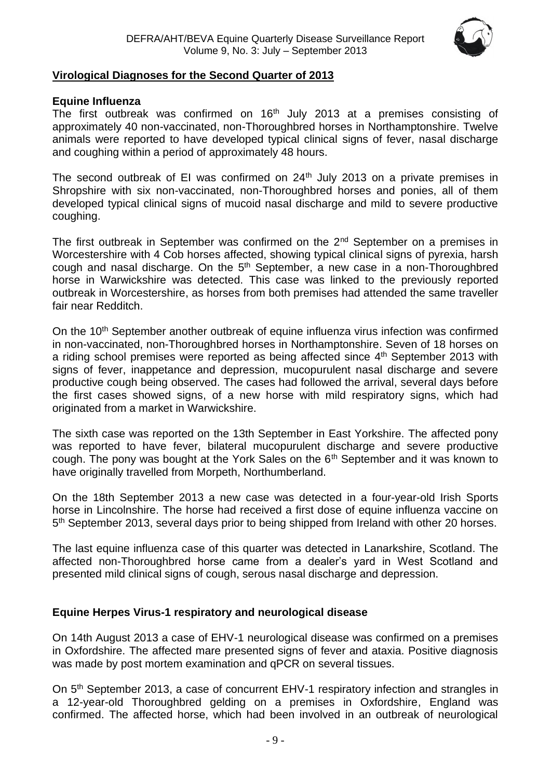

#### **Virological Diagnoses for the Second Quarter of 2013**

#### **Equine Influenza**

The first outbreak was confirmed on  $16<sup>th</sup>$  July 2013 at a premises consisting of approximately 40 non-vaccinated, non-Thoroughbred horses in Northamptonshire. Twelve animals were reported to have developed typical clinical signs of fever, nasal discharge and coughing within a period of approximately 48 hours.

The second outbreak of EI was confirmed on  $24<sup>th</sup>$  July 2013 on a private premises in Shropshire with six non-vaccinated, non-Thoroughbred horses and ponies, all of them developed typical clinical signs of mucoid nasal discharge and mild to severe productive coughing.

The first outbreak in September was confirmed on the 2<sup>nd</sup> September on a premises in Worcestershire with 4 Cob horses affected, showing typical clinical signs of pyrexia, harsh cough and nasal discharge. On the  $5<sup>th</sup>$  September, a new case in a non-Thoroughbred horse in Warwickshire was detected. This case was linked to the previously reported outbreak in Worcestershire, as horses from both premises had attended the same traveller fair near Redditch.

On the 10<sup>th</sup> September another outbreak of equine influenza virus infection was confirmed in non-vaccinated, non-Thoroughbred horses in Northamptonshire. Seven of 18 horses on a riding school premises were reported as being affected since 4<sup>th</sup> September 2013 with signs of fever, inappetance and depression, mucopurulent nasal discharge and severe productive cough being observed. The cases had followed the arrival, several days before the first cases showed signs, of a new horse with mild respiratory signs, which had originated from a market in Warwickshire.

The sixth case was reported on the 13th September in East Yorkshire. The affected pony was reported to have fever, bilateral mucopurulent discharge and severe productive cough. The pony was bought at the York Sales on the  $6<sup>th</sup>$  September and it was known to have originally travelled from Morpeth, Northumberland.

On the 18th September 2013 a new case was detected in a four-year-old Irish Sports horse in Lincolnshire. The horse had received a first dose of equine influenza vaccine on 5<sup>th</sup> September 2013, several days prior to being shipped from Ireland with other 20 horses.

The last equine influenza case of this quarter was detected in Lanarkshire, Scotland. The affected non-Thoroughbred horse came from a dealer's yard in West Scotland and presented mild clinical signs of cough, serous nasal discharge and depression.

#### **Equine Herpes Virus-1 respiratory and neurological disease**

On 14th August 2013 a case of EHV-1 neurological disease was confirmed on a premises in Oxfordshire. The affected mare presented signs of fever and ataxia. Positive diagnosis was made by post mortem examination and qPCR on several tissues.

On 5<sup>th</sup> September 2013, a case of concurrent EHV-1 respiratory infection and strangles in a 12-year-old Thoroughbred gelding on a premises in Oxfordshire, England was confirmed. The affected horse, which had been involved in an outbreak of neurological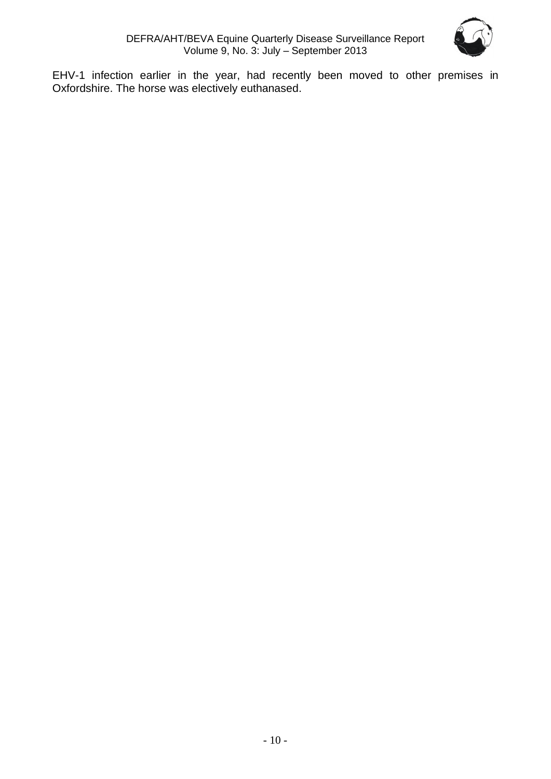

EHV-1 infection earlier in the year, had recently been moved to other premises in Oxfordshire. The horse was electively euthanased.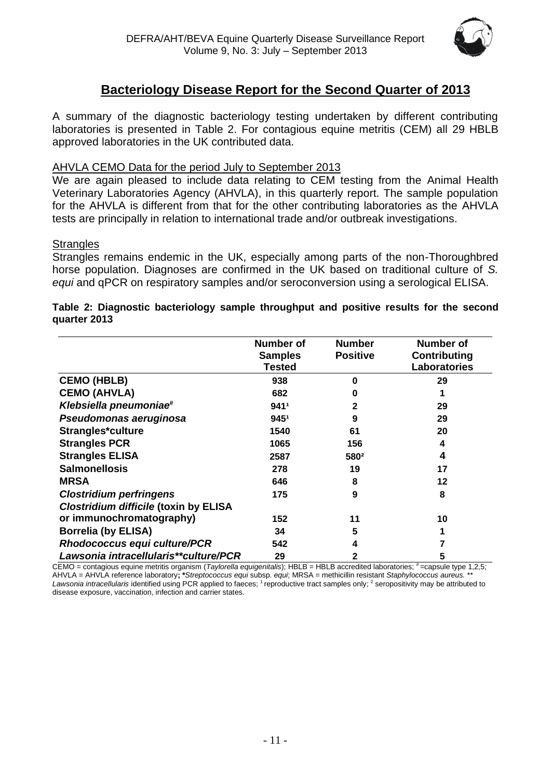

## **Bacteriology Disease Report for the Second Quarter of 2013**

A summary of the diagnostic bacteriology testing undertaken by different contributing laboratories is presented in Table 2. For contagious equine metritis (CEM) all 29 HBLB approved laboratories in the UK contributed data.

#### AHVLA CEMO Data for the period July to September 2013

We are again pleased to include data relating to CEM testing from the Animal Health Veterinary Laboratories Agency (AHVLA), in this quarterly report. The sample population for the AHVLA is different from that for the other contributing laboratories as the AHVLA tests are principally in relation to international trade and/or outbreak investigations.

#### **Strangles**

Strangles remains endemic in the UK, especially among parts of the non-Thoroughbred horse population. Diagnoses are confirmed in the UK based on traditional culture of *S. equi* and qPCR on respiratory samples and/or seroconversion using a serological ELISA.

|                                              | <b>Number of</b><br><b>Samples</b><br><b>Tested</b> | <b>Number</b><br><b>Positive</b> | <b>Number of</b><br><b>Contributing</b><br>Laboratories |
|----------------------------------------------|-----------------------------------------------------|----------------------------------|---------------------------------------------------------|
| <b>CEMO (HBLB)</b>                           | 938                                                 | ŋ                                | 29                                                      |
| <b>CEMO (AHVLA)</b>                          | 682                                                 | 0                                |                                                         |
| Klebsiella pneumoniae#                       | 9411                                                |                                  | 29                                                      |
| Pseudomonas aeruginosa                       | 9451                                                | 9                                | 29                                                      |
| Strangles*culture                            | 1540                                                | 61                               | 20                                                      |
| <b>Strangles PCR</b>                         | 1065                                                | 156                              | 4                                                       |
| <b>Strangles ELISA</b>                       | 2587                                                | 580 <sup>2</sup>                 | 4                                                       |
| <b>Salmonellosis</b>                         | 278                                                 | 19                               | 17                                                      |
| <b>MRSA</b>                                  | 646                                                 | 8                                | 12                                                      |
| <b>Clostridium perfringens</b>               | 175                                                 | 9                                | 8                                                       |
| <b>Clostridium difficile (toxin by ELISA</b> |                                                     |                                  |                                                         |
| or immunochromatography)                     | 152                                                 | 11                               | 10                                                      |
| <b>Borrelia (by ELISA)</b>                   | 34                                                  | 5                                |                                                         |
| <b>Rhodococcus equi culture/PCR</b>          | 542                                                 | 4                                |                                                         |
| Lawsonia intracellularis**culture/PCR        | 29                                                  | 2                                | 5                                                       |

#### **Table 2: Diagnostic bacteriology sample throughput and positive results for the second quarter 2013**

CEMO = contagious equine metritis organism (Taylorella equigenitalis); HBLB = HBLB accredited laboratories; #=capsule type 1,2,5; AHVLA = AHVLA reference laboratory**; \****Streptococcus equi* subsp*. equi*; MRSA = methicillin resistant *Staphylococcus aureus.* \*\* Lawsonia intracellularis identified using PCR applied to faeces; <sup>1</sup> reproductive tract samples only; <sup>2</sup> seropositivity may be attributed to disease exposure, vaccination, infection and carrier states.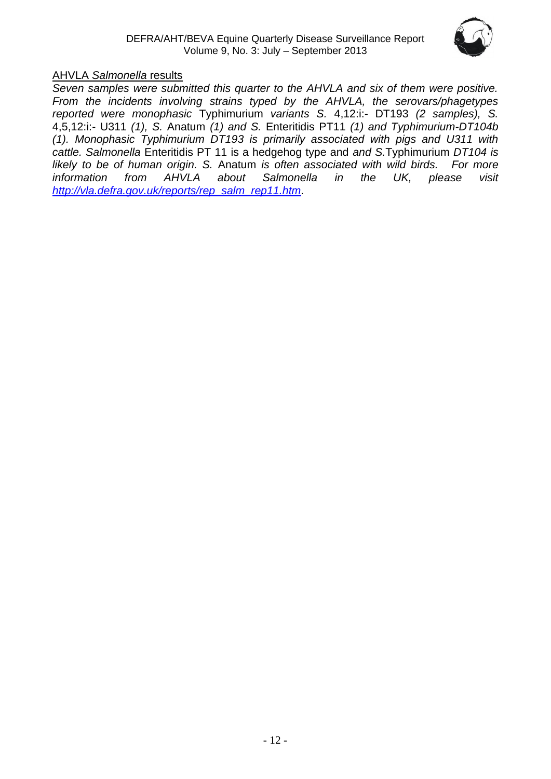

#### AHVLA *Salmonella* results

*Seven samples were submitted this quarter to the AHVLA and six of them were positive. From the incidents involving strains typed by the AHVLA, the serovars/phagetypes reported were monophasic* Typhimurium *variants S.* 4,12:i:- DT193 *(2 samples), S.*  4,5,12:i:- U311 *(1), S.* Anatum *(1) and S.* Enteritidis PT11 *(1) and Typhimurium-DT104b (1). Monophasic Typhimurium DT193 is primarily associated with pigs and U311 with cattle. Salmonella* Enteritidis PT 11 is a hedgehog type and *and S.*Typhimurium *DT104 is likely to be of human origin. S.* Anatum *is often associated with wild birds. For more information from AHVLA about Salmonella in the UK, please visit [http://vla.defra.gov.uk/reports/rep\\_salm\\_rep11.htm.](http://vla.defra.gov.uk/reports/rep_salm_rep11.htm)*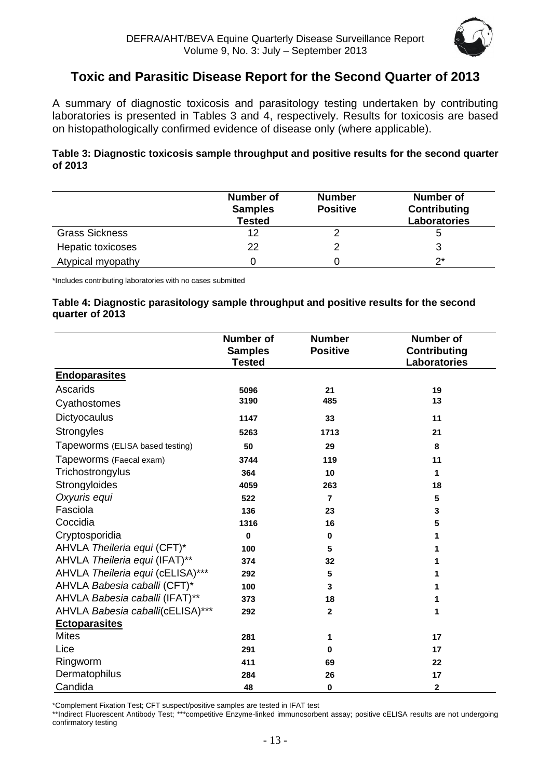

## **Toxic and Parasitic Disease Report for the Second Quarter of 2013**

A summary of diagnostic toxicosis and parasitology testing undertaken by contributing laboratories is presented in Tables 3 and 4, respectively. Results for toxicosis are based on histopathologically confirmed evidence of disease only (where applicable).

#### **Table 3: Diagnostic toxicosis sample throughput and positive results for the second quarter of 2013**

|                       | <b>Number of</b><br><b>Samples</b><br><b>Tested</b> | <b>Number</b><br><b>Positive</b> | <b>Number of</b><br><b>Contributing</b><br>Laboratories |
|-----------------------|-----------------------------------------------------|----------------------------------|---------------------------------------------------------|
| <b>Grass Sickness</b> | 12                                                  |                                  |                                                         |
| Hepatic toxicoses     | 22                                                  |                                  |                                                         |
| Atypical myopathy     |                                                     |                                  | ク*                                                      |

\*Includes contributing laboratories with no cases submitted

#### **Table 4: Diagnostic parasitology sample throughput and positive results for the second quarter of 2013**

|                                  | <b>Number of</b><br><b>Samples</b><br><b>Tested</b> | <b>Number</b><br><b>Positive</b> | <b>Number of</b><br><b>Contributing</b><br><b>Laboratories</b> |
|----------------------------------|-----------------------------------------------------|----------------------------------|----------------------------------------------------------------|
| <b>Endoparasites</b>             |                                                     |                                  |                                                                |
| Ascarids                         | 5096                                                | 21                               | 19                                                             |
| Cyathostomes                     | 3190                                                | 485                              | 13                                                             |
| Dictyocaulus                     | 1147                                                | 33                               | 11                                                             |
| Strongyles                       | 5263                                                | 1713                             | 21                                                             |
| Tapeworms (ELISA based testing)  | 50                                                  | 29                               | 8                                                              |
| Tapeworms (Faecal exam)          | 3744                                                | 119                              | 11                                                             |
| Trichostrongylus                 | 364                                                 | 10                               | 1                                                              |
| Strongyloides                    | 4059                                                | 263                              | 18                                                             |
| Oxyuris equi                     | 522                                                 | $\overline{7}$                   | 5                                                              |
| Fasciola                         | 136                                                 | 23                               | 3                                                              |
| Coccidia                         | 1316                                                | 16                               | 5                                                              |
| Cryptosporidia                   | $\mathbf 0$                                         | $\bf{0}$                         | 1                                                              |
| AHVLA Theileria equi (CFT)*      | 100                                                 | 5                                |                                                                |
| AHVLA Theileria equi (IFAT)**    | 374                                                 | 32                               |                                                                |
| AHVLA Theileria equi (cELISA)*** | 292                                                 | 5                                | 1                                                              |
| AHVLA Babesia caballi (CFT)*     | 100                                                 | 3                                | 1                                                              |
| AHVLA Babesia caballi (IFAT)**   | 373                                                 | 18                               | 1                                                              |
| AHVLA Babesia caballi(cELISA)*** | 292                                                 | $\mathbf{2}$                     | 1                                                              |
| <b>Ectoparasites</b>             |                                                     |                                  |                                                                |
| <b>Mites</b>                     | 281                                                 | 1                                | 17                                                             |
| Lice                             | 291                                                 | 0                                | 17                                                             |
| Ringworm                         | 411                                                 | 69                               | 22                                                             |
| Dermatophilus                    | 284                                                 | 26                               | 17                                                             |
| Candida                          | 48                                                  | $\bf{0}$                         | $\mathbf{2}$                                                   |

\*Complement Fixation Test; CFT suspect/positive samples are tested in IFAT test

\*\*Indirect Fluorescent Antibody Test; \*\*\*competitive Enzyme-linked immunosorbent assay; positive cELISA results are not undergoing confirmatory testing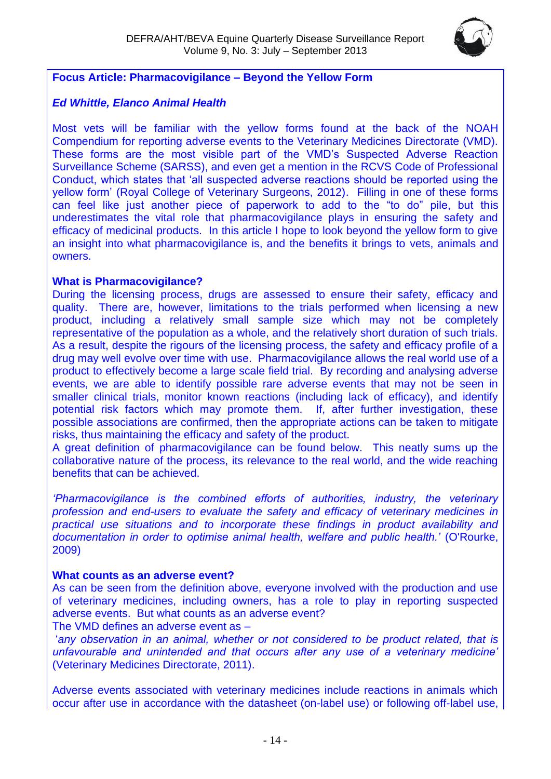

#### **Focus Article: Pharmacovigilance – Beyond the Yellow Form**

#### *Ed Whittle, Elanco Animal Health*

Most vets will be familiar with the yellow forms found at the back of the NOAH Compendium for reporting adverse events to the Veterinary Medicines Directorate (VMD). These forms are the most visible part of the VMD's Suspected Adverse Reaction Surveillance Scheme (SARSS), and even get a mention in the RCVS Code of Professional Conduct, which states that 'all suspected adverse reactions should be reported using the yellow form' (Royal College of Veterinary Surgeons, 2012). Filling in one of these forms can feel like just another piece of paperwork to add to the "to do" pile, but this underestimates the vital role that pharmacovigilance plays in ensuring the safety and efficacy of medicinal products. In this article I hope to look beyond the yellow form to give an insight into what pharmacovigilance is, and the benefits it brings to vets, animals and owners.

#### **What is Pharmacovigilance?**

During the licensing process, drugs are assessed to ensure their safety, efficacy and quality. There are, however, limitations to the trials performed when licensing a new product, including a relatively small sample size which may not be completely representative of the population as a whole, and the relatively short duration of such trials. As a result, despite the rigours of the licensing process, the safety and efficacy profile of a drug may well evolve over time with use. Pharmacovigilance allows the real world use of a product to effectively become a large scale field trial. By recording and analysing adverse events, we are able to identify possible rare adverse events that may not be seen in smaller clinical trials, monitor known reactions (including lack of efficacy), and identify potential risk factors which may promote them. If, after further investigation, these possible associations are confirmed, then the appropriate actions can be taken to mitigate risks, thus maintaining the efficacy and safety of the product.

A great definition of pharmacovigilance can be found below. This neatly sums up the collaborative nature of the process, its relevance to the real world, and the wide reaching benefits that can be achieved.

*'Pharmacovigilance is the combined efforts of authorities, industry, the veterinary profession and end-users to evaluate the safety and efficacy of veterinary medicines in practical use situations and to incorporate these findings in product availability and documentation in order to optimise animal health, welfare and public health.'* (O'Rourke, 2009)

#### **What counts as an adverse event?**

As can be seen from the definition above, everyone involved with the production and use of veterinary medicines, including owners, has a role to play in reporting suspected adverse events. But what counts as an adverse event?

The VMD defines an adverse event as –

'*any observation in an animal, whether or not considered to be product related, that is unfavourable and unintended and that occurs after any use of a veterinary medicine'* (Veterinary Medicines Directorate, 2011).

Adverse events associated with veterinary medicines include reactions in animals which occur after use in accordance with the datasheet (on-label use) or following off-label use,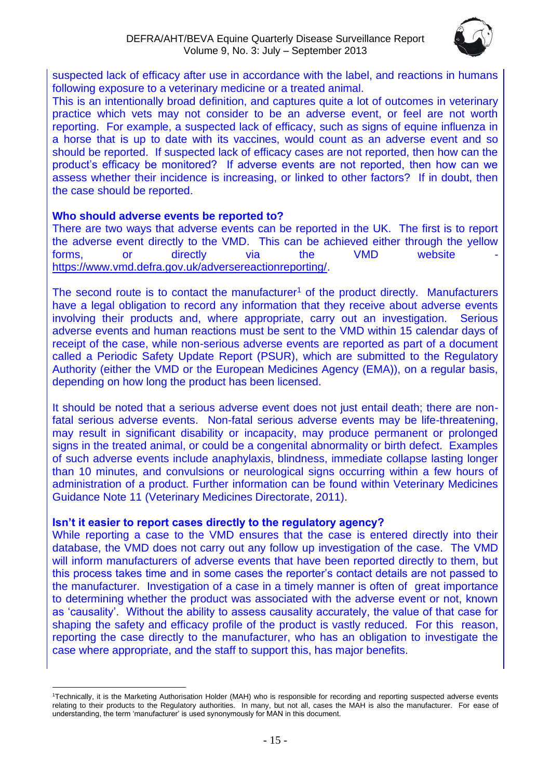

suspected lack of efficacy after use in accordance with the label, and reactions in humans following exposure to a veterinary medicine or a treated animal.

This is an intentionally broad definition, and captures quite a lot of outcomes in veterinary practice which vets may not consider to be an adverse event, or feel are not worth reporting. For example, a suspected lack of efficacy, such as signs of equine influenza in a horse that is up to date with its vaccines, would count as an adverse event and so should be reported. If suspected lack of efficacy cases are not reported, then how can the product's efficacy be monitored? If adverse events are not reported, then how can we assess whether their incidence is increasing, or linked to other factors? If in doubt, then the case should be reported.

#### **Who should adverse events be reported to?**

There are two ways that adverse events can be reported in the UK. The first is to report the adverse event directly to the VMD. This can be achieved either through the yellow forms, or directly via the VMD website [https://www.vmd.defra.gov.uk/adversereactionreporting/.](https://www.vmd.defra.gov.uk/adversereactionreporting/)

The second route is to contact the manufacturer<sup>1</sup> of the product directly. Manufacturers have a legal obligation to record any information that they receive about adverse events involving their products and, where appropriate, carry out an investigation. Serious adverse events and human reactions must be sent to the VMD within 15 calendar days of receipt of the case, while non-serious adverse events are reported as part of a document called a Periodic Safety Update Report (PSUR), which are submitted to the Regulatory Authority (either the VMD or the European Medicines Agency (EMA)), on a regular basis, depending on how long the product has been licensed.

It should be noted that a serious adverse event does not just entail death; there are nonfatal serious adverse events. Non-fatal serious adverse events may be life-threatening, may result in significant disability or incapacity, may produce permanent or prolonged signs in the treated animal, or could be a congenital abnormality or birth defect. Examples of such adverse events include anaphylaxis, blindness, immediate collapse lasting longer than 10 minutes, and convulsions or neurological signs occurring within a few hours of administration of a product. Further information can be found within Veterinary Medicines Guidance Note 11 (Veterinary Medicines Directorate, 2011).

#### **Isn't it easier to report cases directly to the regulatory agency?**

While reporting a case to the VMD ensures that the case is entered directly into their database, the VMD does not carry out any follow up investigation of the case. The VMD will inform manufacturers of adverse events that have been reported directly to them, but this process takes time and in some cases the reporter's contact details are not passed to the manufacturer. Investigation of a case in a timely manner is often of great importance to determining whether the product was associated with the adverse event or not, known as 'causality'. Without the ability to assess causality accurately, the value of that case for shaping the safety and efficacy profile of the product is vastly reduced. For this reason, reporting the case directly to the manufacturer, who has an obligation to investigate the case where appropriate, and the staff to support this, has major benefits.

<sup>1</sup>Technically, it is the Marketing Authorisation Holder (MAH) who is responsible for recording and reporting suspected adverse events relating to their products to the Regulatory authorities. In many, but not all, cases the MAH is also the manufacturer. For ease of understanding, the term 'manufacturer' is used synonymously for MAN in this document.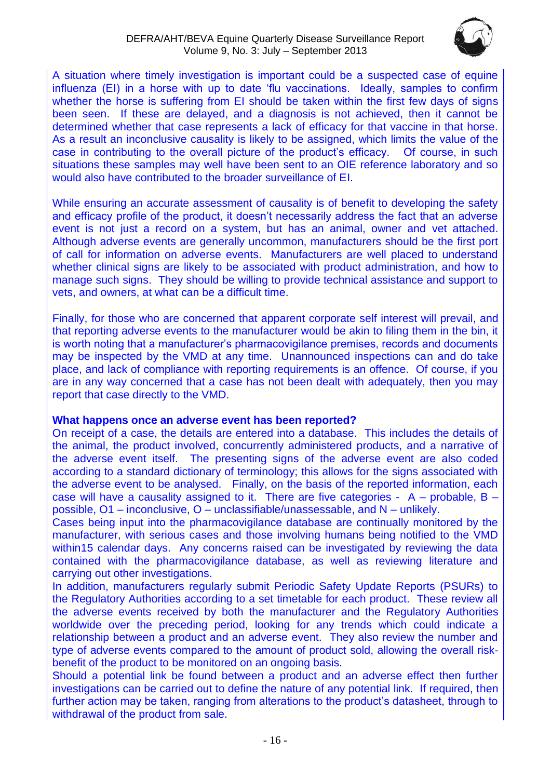

A situation where timely investigation is important could be a suspected case of equine influenza (EI) in a horse with up to date 'flu vaccinations. Ideally, samples to confirm whether the horse is suffering from EI should be taken within the first few days of signs been seen. If these are delayed, and a diagnosis is not achieved, then it cannot be determined whether that case represents a lack of efficacy for that vaccine in that horse. As a result an inconclusive causality is likely to be assigned, which limits the value of the case in contributing to the overall picture of the product's efficacy. Of course, in such situations these samples may well have been sent to an OIE reference laboratory and so would also have contributed to the broader surveillance of EI.

While ensuring an accurate assessment of causality is of benefit to developing the safety and efficacy profile of the product, it doesn't necessarily address the fact that an adverse event is not just a record on a system, but has an animal, owner and vet attached. Although adverse events are generally uncommon, manufacturers should be the first port of call for information on adverse events. Manufacturers are well placed to understand whether clinical signs are likely to be associated with product administration, and how to manage such signs. They should be willing to provide technical assistance and support to vets, and owners, at what can be a difficult time.

Finally, for those who are concerned that apparent corporate self interest will prevail, and that reporting adverse events to the manufacturer would be akin to filing them in the bin, it is worth noting that a manufacturer's pharmacovigilance premises, records and documents may be inspected by the VMD at any time. Unannounced inspections can and do take place, and lack of compliance with reporting requirements is an offence. Of course, if you are in any way concerned that a case has not been dealt with adequately, then you may report that case directly to the VMD.

#### **What happens once an adverse event has been reported?**

On receipt of a case, the details are entered into a database. This includes the details of the animal, the product involved, concurrently administered products, and a narrative of the adverse event itself. The presenting signs of the adverse event are also coded according to a standard dictionary of terminology; this allows for the signs associated with the adverse event to be analysed. Finally, on the basis of the reported information, each case will have a causality assigned to it. There are five categories -  $A -$  probable,  $B$ possible, O1 – inconclusive, O – unclassifiable/unassessable, and N – unlikely.

Cases being input into the pharmacovigilance database are continually monitored by the manufacturer, with serious cases and those involving humans being notified to the VMD within15 calendar days. Any concerns raised can be investigated by reviewing the data contained with the pharmacovigilance database, as well as reviewing literature and carrying out other investigations.

In addition, manufacturers regularly submit Periodic Safety Update Reports (PSURs) to the Regulatory Authorities according to a set timetable for each product. These review all the adverse events received by both the manufacturer and the Regulatory Authorities worldwide over the preceding period, looking for any trends which could indicate a relationship between a product and an adverse event. They also review the number and type of adverse events compared to the amount of product sold, allowing the overall riskbenefit of the product to be monitored on an ongoing basis.

Should a potential link be found between a product and an adverse effect then further investigations can be carried out to define the nature of any potential link. If required, then further action may be taken, ranging from alterations to the product's datasheet, through to withdrawal of the product from sale.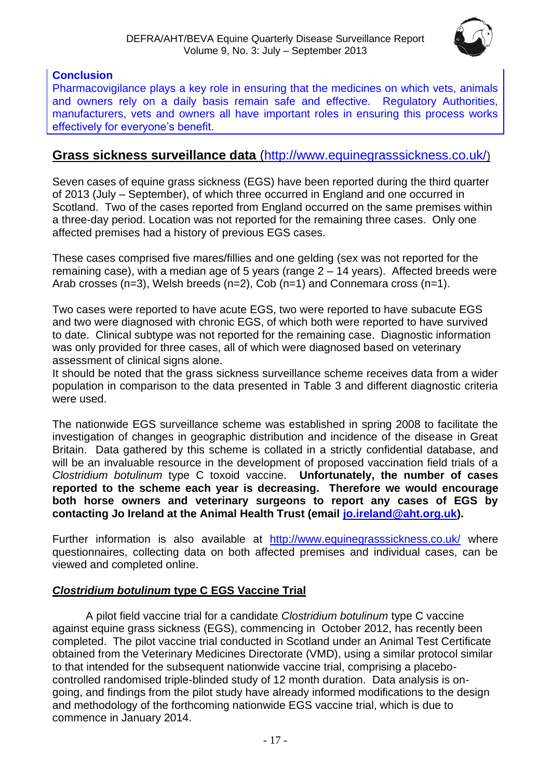

## **Conclusion**

Pharmacovigilance plays a key role in ensuring that the medicines on which vets, animals and owners rely on a daily basis remain safe and effective. Regulatory Authorities, manufacturers, vets and owners all have important roles in ensuring this process works effectively for everyone's benefit.

## **Grass sickness surveillance data** [\(http://www.equinegrasssickness.co.uk/](http://www.equinegrasssickness.co.uk/))

Seven cases of equine grass sickness (EGS) have been reported during the third quarter of 2013 (July – September), of which three occurred in England and one occurred in Scotland. Two of the cases reported from England occurred on the same premises within a three-day period. Location was not reported for the remaining three cases. Only one affected premises had a history of previous EGS cases.

These cases comprised five mares/fillies and one gelding (sex was not reported for the remaining case), with a median age of 5 years (range  $2 - 14$  years). Affected breeds were Arab crosses (n=3), Welsh breeds (n=2), Cob (n=1) and Connemara cross (n=1).

Two cases were reported to have acute EGS, two were reported to have subacute EGS and two were diagnosed with chronic EGS, of which both were reported to have survived to date. Clinical subtype was not reported for the remaining case. Diagnostic information was only provided for three cases, all of which were diagnosed based on veterinary assessment of clinical signs alone.

It should be noted that the grass sickness surveillance scheme receives data from a wider population in comparison to the data presented in Table 3 and different diagnostic criteria were used.

The nationwide EGS surveillance scheme was established in spring 2008 to facilitate the investigation of changes in geographic distribution and incidence of the disease in Great Britain. Data gathered by this scheme is collated in a strictly confidential database, and will be an invaluable resource in the development of proposed vaccination field trials of a *Clostridium botulinum* type C toxoid vaccine. **Unfortunately, the number of cases reported to the scheme each year is decreasing. Therefore we would encourage both horse owners and veterinary surgeons to report any cases of EGS by contacting Jo Ireland at the Animal Health Trust (email [jo.ireland@aht.org.uk\)](mailto:jo.ireland@aht.org.uk).**

Further information is also available at <http://www.equinegrasssickness.co.uk/> where questionnaires, collecting data on both affected premises and individual cases, can be viewed and completed online.

#### *Clostridium botulinum* **type C EGS Vaccine Trial**

A pilot field vaccine trial for a candidate *Clostridium botulinum* type C vaccine against equine grass sickness (EGS), commencing in October 2012, has recently been completed. The pilot vaccine trial conducted in Scotland under an Animal Test Certificate obtained from the Veterinary Medicines Directorate (VMD), using a similar protocol similar to that intended for the subsequent nationwide vaccine trial, comprising a placebocontrolled randomised triple-blinded study of 12 month duration. Data analysis is ongoing, and findings from the pilot study have already informed modifications to the design and methodology of the forthcoming nationwide EGS vaccine trial, which is due to commence in January 2014.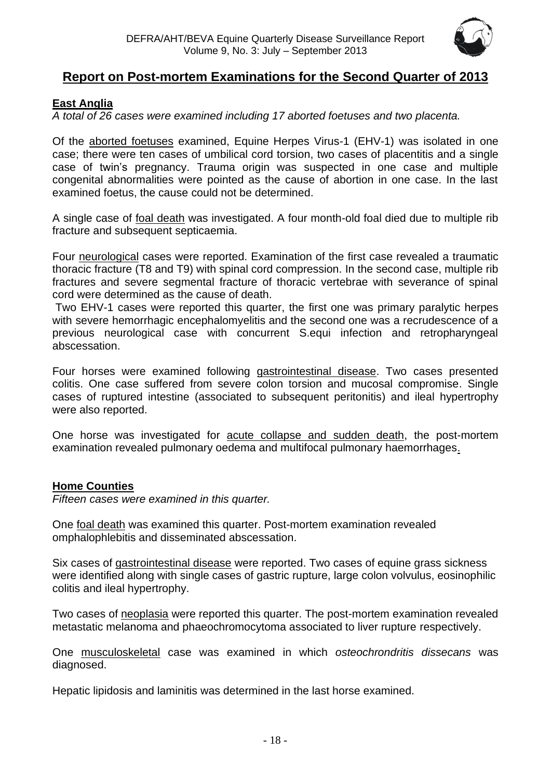

## **Report on Post-mortem Examinations for the Second Quarter of 2013**

#### <span id="page-17-0"></span>**East Anglia**

*A total of 26 cases were examined including 17 aborted foetuses and two placenta.*

Of the aborted foetuses examined, Equine Herpes Virus-1 (EHV-1) was isolated in one case; there were ten cases of umbilical cord torsion, two cases of placentitis and a single case of twin's pregnancy. Trauma origin was suspected in one case and multiple congenital abnormalities were pointed as the cause of abortion in one case. In the last examined foetus, the cause could not be determined.

A single case of foal death was investigated. A four month-old foal died due to multiple rib fracture and subsequent septicaemia.

Four neurological cases were reported. Examination of the first case revealed a traumatic thoracic fracture (T8 and T9) with spinal cord compression. In the second case, multiple rib fractures and severe segmental fracture of thoracic vertebrae with severance of spinal cord were determined as the cause of death.

Two EHV-1 cases were reported this quarter, the first one was primary paralytic herpes with severe hemorrhagic encephalomyelitis and the second one was a recrudescence of a previous neurological case with concurrent S.equi infection and retropharyngeal abscessation.

Four horses were examined following gastrointestinal disease. Two cases presented colitis. One case suffered from severe colon torsion and mucosal compromise. Single cases of ruptured intestine (associated to subsequent peritonitis) and ileal hypertrophy were also reported.

One horse was investigated for acute collapse and sudden death, the post-mortem examination revealed pulmonary oedema and multifocal pulmonary haemorrhages.

#### <span id="page-17-1"></span>**Home Counties**

*Fifteen cases were examined in this quarter.*

One foal death was examined this quarter. Post-mortem examination revealed omphalophlebitis and disseminated abscessation.

Six cases of gastrointestinal disease were reported. Two cases of equine grass sickness were identified along with single cases of gastric rupture, large colon volvulus, eosinophilic colitis and ileal hypertrophy.

Two cases of neoplasia were reported this quarter. The post-mortem examination revealed metastatic melanoma and phaeochromocytoma associated to liver rupture respectively.

One musculoskeletal case was examined in which *osteochrondritis dissecans* was diagnosed.

Hepatic lipidosis and laminitis was determined in the last horse examined.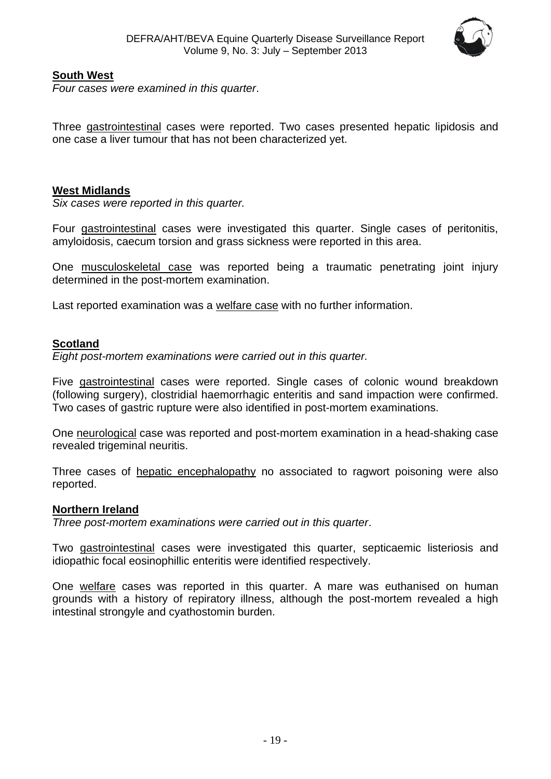

#### <span id="page-18-0"></span>**South West**

*Four cases were examined in this quarter*.

Three gastrointestinal cases were reported. Two cases presented hepatic lipidosis and one case a liver tumour that has not been characterized yet.

#### **West Midlands**

*Six cases were reported in this quarter.*

Four gastrointestinal cases were investigated this quarter. Single cases of peritonitis, amyloidosis, caecum torsion and grass sickness were reported in this area.

One musculoskeletal case was reported being a traumatic penetrating joint injury determined in the post-mortem examination.

Last reported examination was a welfare case with no further information.

#### <span id="page-18-1"></span>**Scotland**

*Eight post-mortem examinations were carried out in this quarter.*

Five gastrointestinal cases were reported. Single cases of colonic wound breakdown (following surgery), clostridial haemorrhagic enteritis and sand impaction were confirmed. Two cases of gastric rupture were also identified in post-mortem examinations.

One neurological case was reported and post-mortem examination in a head-shaking case revealed trigeminal neuritis.

Three cases of hepatic encephalopathy no associated to ragwort poisoning were also reported.

#### <span id="page-18-2"></span>**Northern Ireland**

*Three post-mortem examinations were carried out in this quarter*.

Two gastrointestinal cases were investigated this quarter, septicaemic listeriosis and idiopathic focal eosinophillic enteritis were identified respectively.

One welfare cases was reported in this quarter. A mare was euthanised on human grounds with a history of repiratory illness, although the post-mortem revealed a high intestinal strongyle and cyathostomin burden.